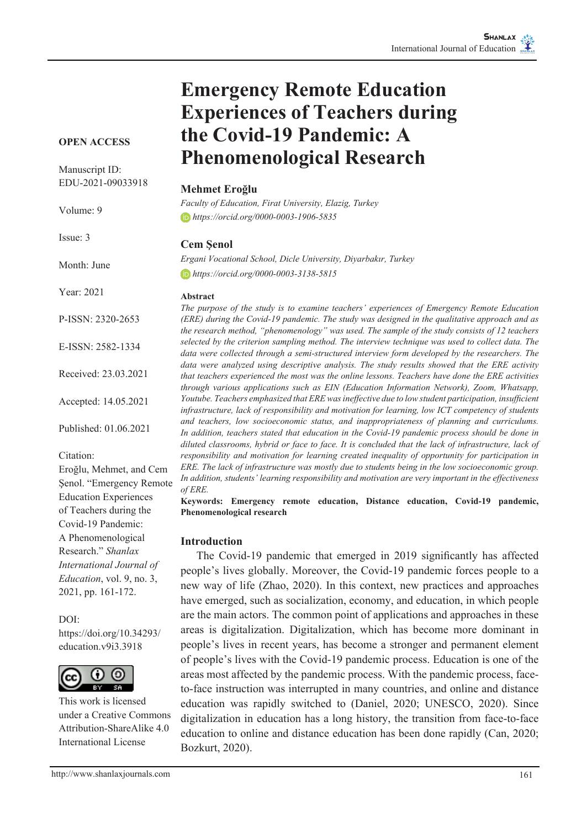# **Emergency Remote Education Experiences of Teachers during the Covid-19 Pandemic: A Phenomenological Research**

#### **OPEN ACCESS**

Manuscript ID: EDU-2021-09033918

Volume: 9

Issue: 3

Month: June

Year: 2021

P-ISSN: 2320-2653

E-ISSN: 2582-1334

Received: 23.03.2021

Accepted: 14.05.2021

Published: 01.06.2021

Citation:

Eroğlu, Mehmet, and Cem Şenol. "Emergency Remote Education Experiences of Teachers during the Covid-19 Pandemic: A Phenomenological Research." *Shanlax International Journal of Education*, vol. 9, no. 3, 2021, pp. 161-172.

DOI: https://doi.org/10.34293/ education.v9i3.3918



This work is licensed under a Creative Commons Attribution-ShareAlike 4.0 International License

#### **Mehmet Eroğlu**

*Faculty of Education, Firat University, Elazig, Turkey https://orcid.org/0000-0003-1906-5835*

#### **Cem Şenol**

*Ergani Vocational School, Dicle University, Diyarbakır, Turkey https://orcid.org/0000-0003-3138-5815*

#### **Abstract**

*The purpose of the study is to examine teachers' experiences of Emergency Remote Education (ERE) during the Covid-19 pandemic. The study was designed in the qualitative approach and as the research method, "phenomenology" was used. The sample of the study consists of 12 teachers selected by the criterion sampling method. The interview technique was used to collect data. The data were collected through a semi-structured interview form developed by the researchers. The data were analyzed using descriptive analysis. The study results showed that the ERE activity that teachers experienced the most was the online lessons. Teachers have done the ERE activities through various applications such as EIN (Education Information Network), Zoom, Whatsapp, Youtube. Teachers emphasized that ERE was ineffective due to low student participation, insufficient infrastructure, lack of responsibility and motivation for learning, low ICT competency of students and teachers, low socioeconomic status, and inappropriateness of planning and curriculums. In addition, teachers stated that education in the Covid-19 pandemic process should be done in diluted classrooms, hybrid or face to face. It is concluded that the lack of infrastructure, lack of responsibility and motivation for learning created inequality of opportunity for participation in ERE. The lack of infrastructure was mostly due to students being in the low socioeconomic group. In addition, students' learning responsibility and motivation are very important in the effectiveness of ERE.*

**Keywords: Emergency remote education, Distance education, Covid-19 pandemic, Phenomenological research**

#### **Introduction**

 The Covid-19 pandemic that emerged in 2019 significantly has affected people's lives globally. Moreover, the Covid-19 pandemic forces people to a new way of life (Zhao, 2020). In this context, new practices and approaches have emerged, such as socialization, economy, and education, in which people are the main actors. The common point of applications and approaches in these areas is digitalization. Digitalization, which has become more dominant in people's lives in recent years, has become a stronger and permanent element of people's lives with the Covid-19 pandemic process. Education is one of the areas most affected by the pandemic process. With the pandemic process, faceto-face instruction was interrupted in many countries, and online and distance education was rapidly switched to (Daniel, 2020; UNESCO, 2020). Since digitalization in education has a long history, the transition from face-to-face education to online and distance education has been done rapidly (Can, 2020; Bozkurt, 2020).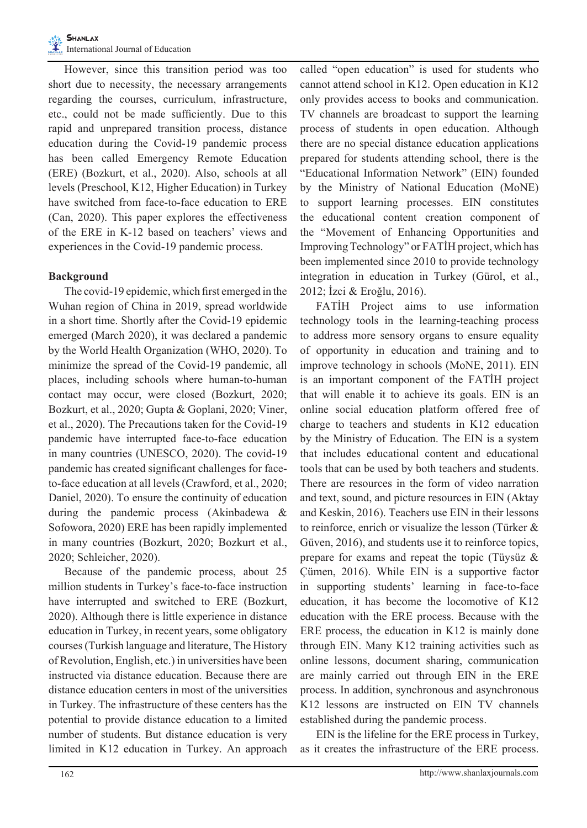However, since this transition period was too short due to necessity, the necessary arrangements regarding the courses, curriculum, infrastructure, etc., could not be made sufficiently. Due to this rapid and unprepared transition process, distance education during the Covid-19 pandemic process has been called Emergency Remote Education (ERE) (Bozkurt, et al., 2020). Also, schools at all levels (Preschool, K12, Higher Education) in Turkey have switched from face-to-face education to ERE (Can, 2020). This paper explores the effectiveness of the ERE in K-12 based on teachers' views and experiences in the Covid-19 pandemic process.

#### **Background**

 The covid-19 epidemic, which first emerged in the Wuhan region of China in 2019, spread worldwide in a short time. Shortly after the Covid-19 epidemic emerged (March 2020), it was declared a pandemic by the World Health Organization (WHO, 2020). To minimize the spread of the Covid-19 pandemic, all places, including schools where human-to-human contact may occur, were closed (Bozkurt, 2020; Bozkurt, et al., 2020; Gupta & Goplani, 2020; Viner, et al., 2020). The Precautions taken for the Covid-19 pandemic have interrupted face-to-face education in many countries (UNESCO, 2020). The covid-19 pandemic has created significant challenges for faceto-face education at all levels (Crawford, et al., 2020; Daniel, 2020). To ensure the continuity of education during the pandemic process (Akinbadewa & Sofowora, 2020) ERE has been rapidly implemented in many countries (Bozkurt, 2020; Bozkurt et al., 2020; Schleicher, 2020).

 Because of the pandemic process, about 25 million students in Turkey's face-to-face instruction have interrupted and switched to ERE (Bozkurt, 2020). Although there is little experience in distance education in Turkey, in recent years, some obligatory courses(Turkish language and literature, The History of Revolution, English, etc.) in universities have been instructed via distance education. Because there are distance education centers in most of the universities in Turkey. The infrastructure of these centers has the potential to provide distance education to a limited number of students. But distance education is very limited in K12 education in Turkey. An approach called "open education" is used for students who cannot attend school in K12. Open education in K12 only provides access to books and communication. TV channels are broadcast to support the learning process of students in open education. Although there are no special distance education applications prepared for students attending school, there is the "Educational Information Network" (EIN) founded by the Ministry of National Education (MoNE) to support learning processes. EIN constitutes the educational content creation component of the "Movement of Enhancing Opportunities and Improving Technology" or FATİH project, which has been implemented since 2010 to provide technology integration in education in Turkey (Gürol, et al., 2012; İzci & Eroğlu, 2016).

 FATİH Project aims to use information technology tools in the learning-teaching process to address more sensory organs to ensure equality of opportunity in education and training and to improve technology in schools (MoNE, 2011). EIN is an important component of the FATİH project that will enable it to achieve its goals. EIN is an online social education platform offered free of charge to teachers and students in K12 education by the Ministry of Education. The EIN is a system that includes educational content and educational tools that can be used by both teachers and students. There are resources in the form of video narration and text, sound, and picture resources in EIN (Aktay and Keskin, 2016). Teachers use EIN in their lessons to reinforce, enrich or visualize the lesson (Türker & Güven, 2016), and students use it to reinforce topics, prepare for exams and repeat the topic (Tüysüz & Çümen, 2016). While EIN is a supportive factor in supporting students' learning in face-to-face education, it has become the locomotive of K12 education with the ERE process. Because with the ERE process, the education in K12 is mainly done through EIN. Many K12 training activities such as online lessons, document sharing, communication are mainly carried out through EIN in the ERE process. In addition, synchronous and asynchronous K12 lessons are instructed on EIN TV channels established during the pandemic process.

 EIN is the lifeline for the ERE process in Turkey, as it creates the infrastructure of the ERE process.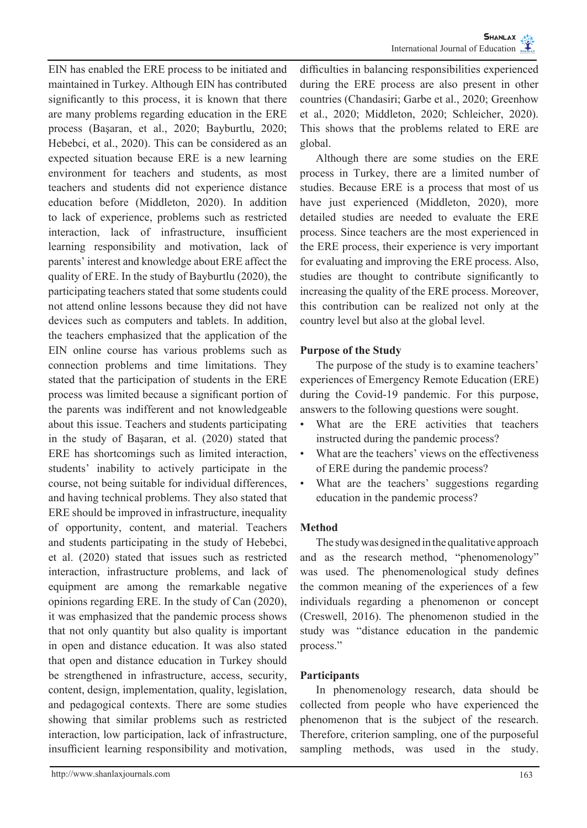EIN has enabled the ERE process to be initiated and maintained in Turkey. Although EIN has contributed significantly to this process, it is known that there are many problems regarding education in the ERE process (Başaran, et al., 2020; Bayburtlu, 2020; Hebebci, et al., 2020). This can be considered as an expected situation because ERE is a new learning environment for teachers and students, as most teachers and students did not experience distance education before (Middleton, 2020). In addition to lack of experience, problems such as restricted interaction, lack of infrastructure, insufficient learning responsibility and motivation, lack of parents' interest and knowledge about ERE affect the quality of ERE. In the study of Bayburtlu (2020), the participating teachers stated that some students could not attend online lessons because they did not have devices such as computers and tablets. In addition, the teachers emphasized that the application of the EIN online course has various problems such as connection problems and time limitations. They stated that the participation of students in the ERE process was limited because a significant portion of the parents was indifferent and not knowledgeable about this issue. Teachers and students participating in the study of Başaran, et al. (2020) stated that ERE has shortcomings such as limited interaction, students' inability to actively participate in the course, not being suitable for individual differences, and having technical problems. They also stated that ERE should be improved in infrastructure, inequality of opportunity, content, and material. Teachers and students participating in the study of Hebebci, et al. (2020) stated that issues such as restricted interaction, infrastructure problems, and lack of equipment are among the remarkable negative opinions regarding ERE. In the study of Can (2020), it was emphasized that the pandemic process shows that not only quantity but also quality is important in open and distance education. It was also stated that open and distance education in Turkey should be strengthened in infrastructure, access, security, content, design, implementation, quality, legislation, and pedagogical contexts. There are some studies showing that similar problems such as restricted interaction, low participation, lack of infrastructure, insufficient learning responsibility and motivation,

difficulties in balancing responsibilities experienced during the ERE process are also present in other countries (Chandasiri; Garbe et al., 2020; Greenhow et al., 2020; Middleton, 2020; Schleicher, 2020). This shows that the problems related to ERE are global.

 Although there are some studies on the ERE process in Turkey, there are a limited number of studies. Because ERE is a process that most of us have just experienced (Middleton, 2020), more detailed studies are needed to evaluate the ERE process. Since teachers are the most experienced in the ERE process, their experience is very important for evaluating and improving the ERE process. Also, studies are thought to contribute significantly to increasing the quality of the ERE process. Moreover, this contribution can be realized not only at the country level but also at the global level.

# **Purpose of the Study**

 The purpose of the study is to examine teachers' experiences of Emergency Remote Education (ERE) during the Covid-19 pandemic. For this purpose, answers to the following questions were sought.

- • What are the ERE activities that teachers instructed during the pandemic process?
- What are the teachers' views on the effectiveness of ERE during the pandemic process?
- What are the teachers' suggestions regarding education in the pandemic process?

## **Method**

The study was designed in the qualitative approach and as the research method, "phenomenology" was used. The phenomenological study defines the common meaning of the experiences of a few individuals regarding a phenomenon or concept (Creswell, 2016). The phenomenon studied in the study was "distance education in the pandemic process."

## **Participants**

 In phenomenology research, data should be collected from people who have experienced the phenomenon that is the subject of the research. Therefore, criterion sampling, one of the purposeful sampling methods, was used in the study.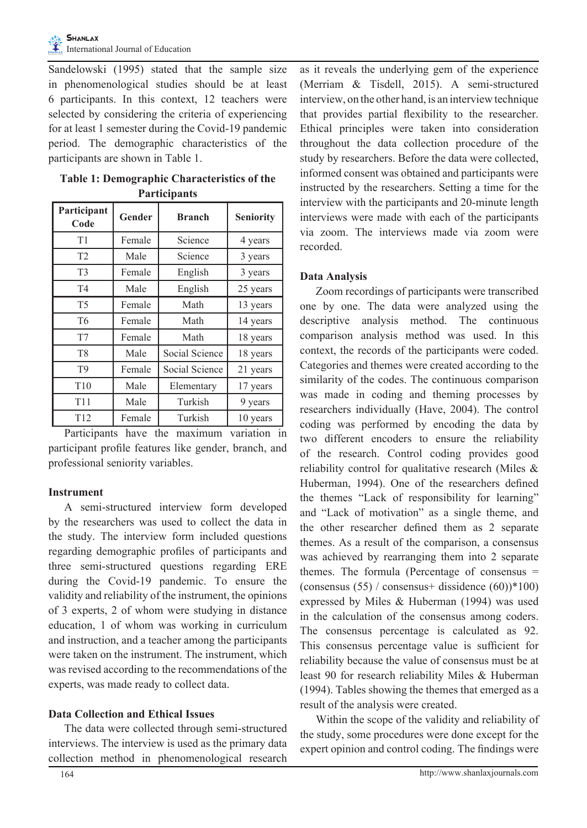Sandelowski (1995) stated that the sample size in phenomenological studies should be at least 6 participants. In this context, 12 teachers were selected by considering the criteria of experiencing for at least 1 semester during the Covid-19 pandemic period. The demographic characteristics of the participants are shown in Table 1.

| Participant<br>Code | Gender | <b>Branch</b>      | <b>Seniority</b> |
|---------------------|--------|--------------------|------------------|
| T1                  | Female | Science            | 4 years          |
| T2                  | Male   | Science            | 3 years          |
| T <sub>3</sub>      | Female | English            | 3 years          |
| T <sub>4</sub>      | Male   | English            | 25 years         |
| T <sub>5</sub>      | Female | Math               | 13 years         |
| T <sub>6</sub>      | Female | Math               | 14 years         |
| T7                  | Female | Math               | 18 years         |
| T <sub>8</sub>      | Male   | Social Science     | 18 years         |
| T <sub>9</sub>      | Female | Social Science     | 21 years         |
| T <sub>10</sub>     | Male   | Elementary         | 17 years         |
| T <sub>11</sub>     | Male   | Turkish<br>9 years |                  |
| T <sub>12</sub>     | Female | Turkish            | 10 years         |

**Table 1: Demographic Characteristics of the Participants**

Participants have the maximum variation in participant profile features like gender, branch, and professional seniority variables.

## **Instrument**

 A semi-structured interview form developed by the researchers was used to collect the data in the study. The interview form included questions regarding demographic profiles of participants and three semi-structured questions regarding ERE during the Covid-19 pandemic. To ensure the validity and reliability of the instrument, the opinions of 3 experts, 2 of whom were studying in distance education, 1 of whom was working in curriculum and instruction, and a teacher among the participants were taken on the instrument. The instrument, which was revised according to the recommendations of the experts, was made ready to collect data.

## **Data Collection and Ethical Issues**

The data were collected through semi-structured interviews. The interview is used as the primary data collection method in phenomenological research

as it reveals the underlying gem of the experience (Merriam & Tisdell, 2015). A semi-structured interview, on the other hand, is an interview technique that provides partial flexibility to the researcher. Ethical principles were taken into consideration throughout the data collection procedure of the study by researchers. Before the data were collected, informed consent was obtained and participants were instructed by the researchers. Setting a time for the interview with the participants and 20-minute length interviews were made with each of the participants via zoom. The interviews made via zoom were recorded.

# **Data Analysis**

 Zoom recordings of participants were transcribed one by one. The data were analyzed using the descriptive analysis method. The continuous comparison analysis method was used. In this context, the records of the participants were coded. Categories and themes were created according to the similarity of the codes. The continuous comparison was made in coding and theming processes by researchers individually (Have, 2004). The control coding was performed by encoding the data by two different encoders to ensure the reliability of the research. Control coding provides good reliability control for qualitative research (Miles & Huberman, 1994). One of the researchers defined the themes "Lack of responsibility for learning" and "Lack of motivation" as a single theme, and the other researcher defined them as 2 separate themes. As a result of the comparison, a consensus was achieved by rearranging them into 2 separate themes. The formula (Percentage of consensus = (consensus  $(55)$  / consensus+ dissidence  $(60)$ )\*100) expressed by Miles & Huberman (1994) was used in the calculation of the consensus among coders. The consensus percentage is calculated as 92. This consensus percentage value is sufficient for reliability because the value of consensus must be at least 90 for research reliability Miles & Huberman (1994). Tables showing the themes that emerged as a result of the analysis were created.

 Within the scope of the validity and reliability of the study, some procedures were done except for the expert opinion and control coding. The findings were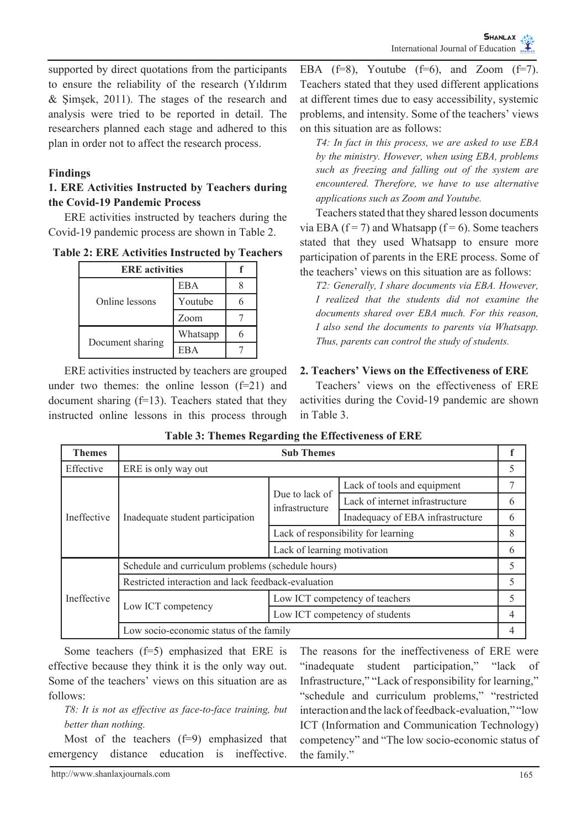supported by direct quotations from the participants to ensure the reliability of the research (Yıldırım & Şimşek, 2011). The stages of the research and analysis were tried to be reported in detail. The researchers planned each stage and adhered to this plan in order not to affect the research process.

# **Findings**

## **1. ERE Activities Instructed by Teachers during the Covid-19 Pandemic Process**

 ERE activities instructed by teachers during the Covid-19 pandemic process are shown in Table 2.

| <b>ERE</b> activities |            |  |
|-----------------------|------------|--|
|                       | <b>EBA</b> |  |
| Online lessons        | Youtube    |  |
|                       | Zoom       |  |
|                       | Whatsapp   |  |
| Document sharing      | EBA        |  |

 ERE activities instructed by teachers are grouped under two themes: the online lesson (f=21) and document sharing (f=13). Teachers stated that they instructed online lessons in this process through EBA  $(f=8)$ , Youtube  $(f=6)$ , and Zoom  $(f=7)$ . Teachers stated that they used different applications at different times due to easy accessibility, systemic problems, and intensity. Some of the teachers' views on this situation are as follows:

*T4: In fact in this process, we are asked to use EBA by the ministry. However, when using EBA, problems such as freezing and falling out of the system are encountered. Therefore, we have to use alternative applications such as Zoom and Youtube.*

Teachers stated that they shared lesson documents via EBA ( $f = 7$ ) and Whatsapp ( $f = 6$ ). Some teachers stated that they used Whatsapp to ensure more participation of parents in the ERE process. Some of the teachers' views on this situation are as follows:

*T2: Generally, I share documents via EBA. However, I realized that the students did not examine the documents shared over EBA much. For this reason, I also send the documents to parents via Whatsapp. Thus, parents can control the study of students.*

## **2. Teachers' Views on the Effectiveness of ERE**

 Teachers' views on the effectiveness of ERE activities during the Covid-19 pandemic are shown in Table 3.

| <b>Themes</b> | <b>Sub Themes</b>                                   |                                     |                                  |   |
|---------------|-----------------------------------------------------|-------------------------------------|----------------------------------|---|
| Effective     | ERE is only way out                                 |                                     |                                  | 5 |
| Ineffective   | Inadequate student participation                    | Due to lack of<br>infrastructure    | Lack of tools and equipment      |   |
|               |                                                     |                                     | Lack of internet infrastructure  | 6 |
|               |                                                     |                                     | Inadequacy of EBA infrastructure | 6 |
|               |                                                     | Lack of responsibility for learning |                                  | 8 |
|               |                                                     | Lack of learning motivation         |                                  | 6 |
| Ineffective   | Schedule and curriculum problems (schedule hours)   |                                     |                                  |   |
|               | Restricted interaction and lack feedback-evaluation |                                     |                                  |   |
|               |                                                     | Low ICT competency of teachers      |                                  | 5 |
|               | Low ICT competency                                  | Low ICT competency of students      |                                  | 4 |
|               | Low socio-economic status of the family             |                                     |                                  |   |

## **Table 3: Themes Regarding the Effectiveness of ERE**

 Some teachers (f=5) emphasized that ERE is effective because they think it is the only way out. Some of the teachers' views on this situation are as follows:

*T8: It is not as effective as face-to-face training, but better than nothing.*

 Most of the teachers (f=9) emphasized that emergency distance education is ineffective.

The reasons for the ineffectiveness of ERE were "inadequate student participation," "lack of Infrastructure," "Lack of responsibility for learning," "schedule and curriculum problems," "restricted interaction and the lack of feedback-evaluation," "low ICT (Information and Communication Technology) competency" and "The low socio-economic status of the family."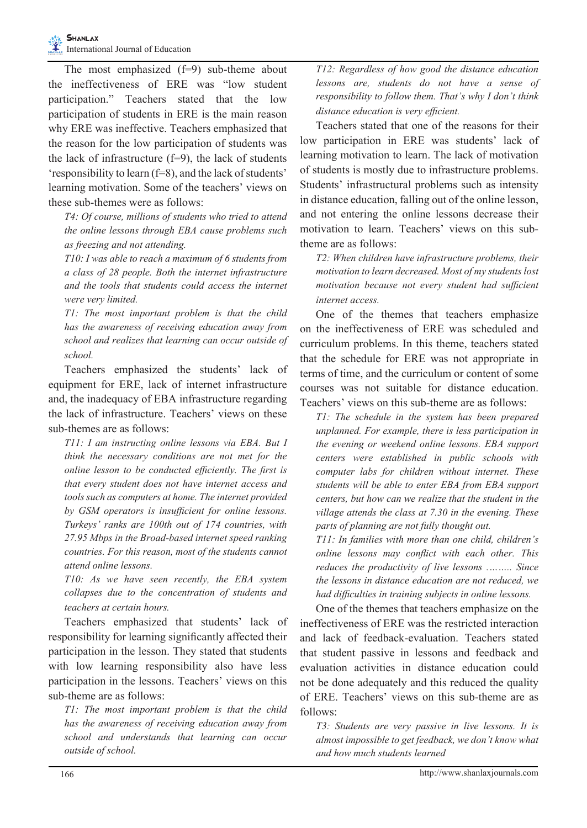The most emphasized (f=9) sub-theme about the ineffectiveness of ERE was "low student participation." Teachers stated that the low participation of students in ERE is the main reason why ERE was ineffective. Teachers emphasized that the reason for the low participation of students was the lack of infrastructure  $(f=9)$ , the lack of students 'responsibility to learn  $(f=8)$ , and the lack of students' learning motivation. Some of the teachers' views on these sub-themes were as follows:

*T4: Of course, millions of students who tried to attend the online lessons through EBA cause problems such as freezing and not attending.*

*T10: I was able to reach a maximum of 6 students from a class of 28 people. Both the internet infrastructure and the tools that students could access the internet were very limited.*

*T1: The most important problem is that the child has the awareness of receiving education away from school and realizes that learning can occur outside of school.*

 Teachers emphasized the students' lack of equipment for ERE, lack of internet infrastructure and, the inadequacy of EBA infrastructure regarding the lack of infrastructure. Teachers' views on these sub-themes are as follows:

*T11: I am instructing online lessons via EBA. But I think the necessary conditions are not met for the online lesson to be conducted efficiently. The first is that every student does not have internet access and tools such as computers at home. The internet provided by GSM operators is insufficient for online lessons. Turkeys' ranks are 100th out of 174 countries, with 27.95 Mbps in the Broad-based internet speed ranking countries. For this reason, most of the students cannot attend online lessons.*

*T10: As we have seen recently, the EBA system collapses due to the concentration of students and teachers at certain hours.*

 Teachers emphasized that students' lack of responsibility for learning significantly affected their participation in the lesson. They stated that students with low learning responsibility also have less participation in the lessons. Teachers' views on this sub-theme are as follows:

*T1: The most important problem is that the child has the awareness of receiving education away from school and understands that learning can occur outside of school.*

*T12: Regardless of how good the distance education lessons are, students do not have a sense of responsibility to follow them. That's why I don't think distance education is very efficient.*

 Teachers stated that one of the reasons for their low participation in ERE was students' lack of learning motivation to learn. The lack of motivation of students is mostly due to infrastructure problems. Students' infrastructural problems such as intensity in distance education, falling out of the online lesson, and not entering the online lessons decrease their motivation to learn. Teachers' views on this subtheme are as follows:

*T2: When children have infrastructure problems, their motivation to learn decreased. Most of my students lost motivation because not every student had sufficient internet access.*

 One of the themes that teachers emphasize on the ineffectiveness of ERE was scheduled and curriculum problems. In this theme, teachers stated that the schedule for ERE was not appropriate in terms of time, and the curriculum or content of some courses was not suitable for distance education. Teachers' views on this sub-theme are as follows:

*T1: The schedule in the system has been prepared unplanned. For example, there is less participation in the evening or weekend online lessons. EBA support centers were established in public schools with computer labs for children without internet. These students will be able to enter EBA from EBA support centers, but how can we realize that the student in the village attends the class at 7.30 in the evening. These parts of planning are not fully thought out.*

*T11: In families with more than one child, children's online lessons may conflict with each other. This reduces the productivity of live lessons .…….. Since the lessons in distance education are not reduced, we had difficulties in training subjects in online lessons.* 

 One of the themes that teachers emphasize on the ineffectiveness of ERE was the restricted interaction and lack of feedback-evaluation. Teachers stated that student passive in lessons and feedback and evaluation activities in distance education could not be done adequately and this reduced the quality of ERE. Teachers' views on this sub-theme are as follows:

*T3: Students are very passive in live lessons. It is almost impossible to get feedback, we don't know what and how much students learned*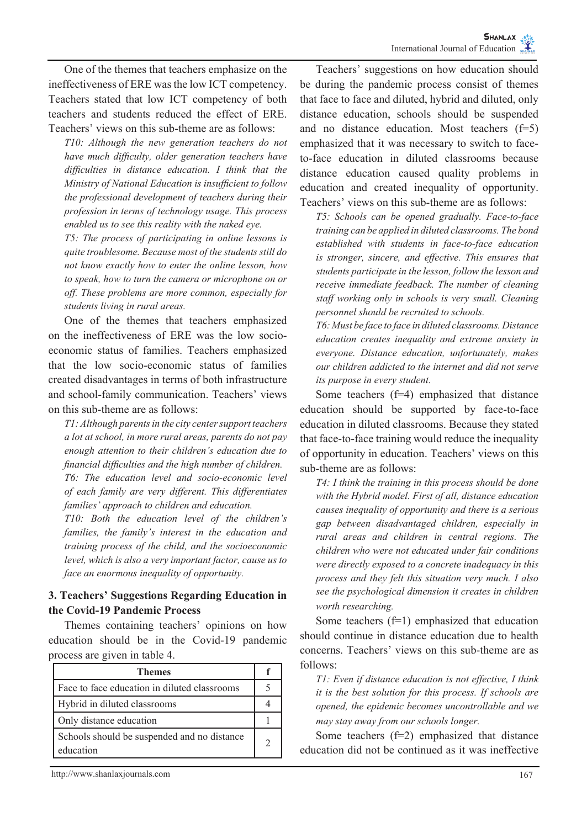One of the themes that teachers emphasize on the ineffectiveness of ERE wasthe low ICT competency. Teachers stated that low ICT competency of both teachers and students reduced the effect of ERE. Teachers' views on this sub-theme are as follows:

*T10: Although the new generation teachers do not have much difficulty, older generation teachers have difficulties in distance education. I think that the Ministry of National Education is insufficient to follow the professional development of teachers during their profession in terms of technology usage. This process enabled us to see this reality with the naked eye.*

*T5: The process of participating in online lessons is quite troublesome. Because most of the students still do not know exactly how to enter the online lesson, how to speak, how to turn the camera or microphone on or off. These problems are more common, especially for students living in rural areas.*

 One of the themes that teachers emphasized on the ineffectiveness of ERE was the low socioeconomic status of families. Teachers emphasized that the low socio-economic status of families created disadvantages in terms of both infrastructure and school-family communication. Teachers' views on this sub-theme are as follows:

*T1: Although parents in the city center support teachers a lot at school, in more rural areas, parents do not pay enough attention to their children's education due to financial difficulties and the high number of children.*

*T6: The education level and socio-economic level of each family are very different. This differentiates families' approach to children and education.*

*T10: Both the education level of the children's families, the family's interest in the education and training process of the child, and the socioeconomic level, which is also a very important factor, cause us to face an enormous inequality of opportunity.*

## **3. Teachers' Suggestions Regarding Education in the Covid-19 Pandemic Process**

Themes containing teachers' opinions on how education should be in the Covid-19 pandemic process are given in table 4.

| <b>Themes</b>                                            |  |
|----------------------------------------------------------|--|
| Face to face education in diluted classrooms             |  |
| Hybrid in diluted classrooms                             |  |
| Only distance education                                  |  |
| Schools should be suspended and no distance<br>education |  |

Teachers' suggestions on how education should be during the pandemic process consist of themes that face to face and diluted, hybrid and diluted, only distance education, schools should be suspended and no distance education. Most teachers  $(f=5)$ emphasized that it was necessary to switch to faceto-face education in diluted classrooms because distance education caused quality problems in education and created inequality of opportunity. Teachers' views on this sub-theme are as follows:

*T5: Schools can be opened gradually. Face-to-face training can be applied in diluted classrooms. The bond established with students in face-to-face education is stronger, sincere, and effective. This ensures that students participate in the lesson, follow the lesson and receive immediate feedback. The number of cleaning staff working only in schools is very small. Cleaning personnel should be recruited to schools.*

*T6: Must be face to face in diluted classrooms. Distance education creates inequality and extreme anxiety in everyone. Distance education, unfortunately, makes our children addicted to the internet and did not serve its purpose in every student.*

 Some teachers (f=4) emphasized that distance education should be supported by face-to-face education in diluted classrooms. Because they stated that face-to-face training would reduce the inequality of opportunity in education. Teachers' views on this sub-theme are as follows:

*T4: I think the training in this process should be done with the Hybrid model. First of all, distance education causes inequality of opportunity and there is a serious gap between disadvantaged children, especially in rural areas and children in central regions. The children who were not educated under fair conditions were directly exposed to a concrete inadequacy in this process and they felt this situation very much. I also see the psychological dimension it creates in children worth researching.*

 Some teachers (f=1) emphasized that education should continue in distance education due to health concerns. Teachers' views on this sub-theme are as follows:

*T1: Even if distance education is not effective, I think it is the best solution for this process. If schools are opened, the epidemic becomes uncontrollable and we may stay away from our schools longer.*

 Some teachers (f=2) emphasized that distance education did not be continued as it was ineffective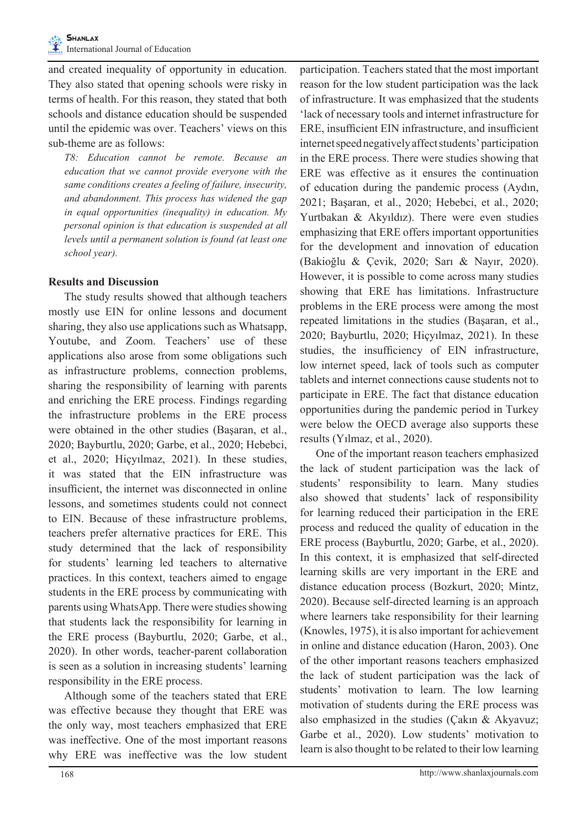and created inequality of opportunity in education. They also stated that opening schools were risky in terms of health. For this reason, they stated that both schools and distance education should be suspended until the epidemic was over. Teachers' views on this sub-theme are as follows:

*T8: Education cannot be remote. Because an education that we cannot provide everyone with the same conditions creates a feeling of failure, insecurity, and abandonment. This process has widened the gap in equal opportunities (inequality) in education. My personal opinion is that education is suspended at all levels until a permanent solution is found (at least one school year).*

#### **Results and Discussion**

 The study results showed that although teachers mostly use EIN for online lessons and document sharing, they also use applications such as Whatsapp, Youtube, and Zoom. Teachers' use of these applications also arose from some obligations such as infrastructure problems, connection problems, sharing the responsibility of learning with parents and enriching the ERE process. Findings regarding the infrastructure problems in the ERE process were obtained in the other studies (Başaran, et al., 2020; Bayburtlu, 2020; Garbe, et al., 2020; Hebebci, et al., 2020; Hiçyılmaz, 2021). In these studies, it was stated that the EIN infrastructure was insufficient, the internet was disconnected in online lessons, and sometimes students could not connect to EIN. Because of these infrastructure problems, teachers prefer alternative practices for ERE. This study determined that the lack of responsibility for students' learning led teachers to alternative practices. In this context, teachers aimed to engage students in the ERE process by communicating with parents using WhatsApp. There were studies showing that students lack the responsibility for learning in the ERE process (Bayburtlu, 2020; Garbe, et al., 2020). In other words, teacher-parent collaboration is seen as a solution in increasing students' learning responsibility in the ERE process.

 Although some of the teachers stated that ERE was effective because they thought that ERE was the only way, most teachers emphasized that ERE was ineffective. One of the most important reasons why ERE was ineffective was the low student

participation. Teachers stated that the most important reason for the low student participation was the lack of infrastructure. It was emphasized that the students 'lack of necessary tools and internet infrastructure for ERE, insufficient EIN infrastructure, and insufficient internetspeednegativelyaffectstudents'participation in the ERE process. There were studies showing that ERE was effective as it ensures the continuation of education during the pandemic process (Aydın, 2021; Başaran, et al., 2020; Hebebci, et al., 2020; Yurtbakan & Akyıldız). There were even studies emphasizing that ERE offers important opportunities for the development and innovation of education (Bakioğlu & Çevik, 2020; Sarı & Nayır, 2020). However, it is possible to come across many studies showing that ERE has limitations. Infrastructure problems in the ERE process were among the most repeated limitations in the studies (Başaran, et al., 2020; Bayburtlu, 2020; Hiçyılmaz, 2021). In these studies, the insufficiency of EIN infrastructure, low internet speed, lack of tools such as computer tablets and internet connections cause students not to participate in ERE. The fact that distance education opportunities during the pandemic period in Turkey were below the OECD average also supports these results (Yılmaz, et al., 2020).

 One of the important reason teachers emphasized the lack of student participation was the lack of students' responsibility to learn. Many studies also showed that students' lack of responsibility for learning reduced their participation in the ERE process and reduced the quality of education in the ERE process (Bayburtlu, 2020; Garbe, et al., 2020). In this context, it is emphasized that self-directed learning skills are very important in the ERE and distance education process (Bozkurt, 2020; Mintz, 2020). Because self-directed learning is an approach where learners take responsibility for their learning (Knowles, 1975), it is also important for achievement in online and distance education (Haron, 2003). One of the other important reasons teachers emphasized the lack of student participation was the lack of students' motivation to learn. The low learning motivation of students during the ERE process was also emphasized in the studies (Çakın & Akyavuz; Garbe et al., 2020). Low students' motivation to learn is also thought to be related to their low learning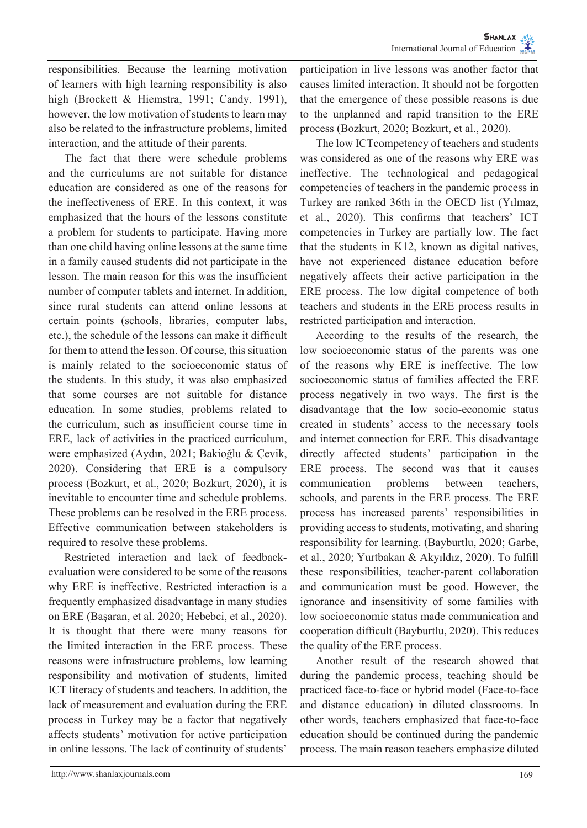responsibilities. Because the learning motivation of learners with high learning responsibility is also high (Brockett & Hiemstra, 1991; Candy, 1991), however, the low motivation of students to learn may also be related to the infrastructure problems, limited interaction, and the attitude of their parents.

 The fact that there were schedule problems and the curriculums are not suitable for distance education are considered as one of the reasons for the ineffectiveness of ERE. In this context, it was emphasized that the hours of the lessons constitute a problem for students to participate. Having more than one child having online lessons at the same time in a family caused students did not participate in the lesson. The main reason for this was the insufficient number of computer tablets and internet. In addition, since rural students can attend online lessons at certain points (schools, libraries, computer labs, etc.), the schedule of the lessons can make it difficult for them to attend the lesson. Of course, this situation is mainly related to the socioeconomic status of the students. In this study, it was also emphasized that some courses are not suitable for distance education. In some studies, problems related to the curriculum, such as insufficient course time in ERE, lack of activities in the practiced curriculum, were emphasized (Aydın, 2021; Bakioğlu & Çevik, 2020). Considering that ERE is a compulsory process (Bozkurt, et al., 2020; Bozkurt, 2020), it is inevitable to encounter time and schedule problems. These problems can be resolved in the ERE process. Effective communication between stakeholders is required to resolve these problems.

 Restricted interaction and lack of feedbackevaluation were considered to be some of the reasons why ERE is ineffective. Restricted interaction is a frequently emphasized disadvantage in many studies on ERE (Başaran, et al. 2020; Hebebci, et al., 2020). It is thought that there were many reasons for the limited interaction in the ERE process. These reasons were infrastructure problems, low learning responsibility and motivation of students, limited ICT literacy of students and teachers. In addition, the lack of measurement and evaluation during the ERE process in Turkey may be a factor that negatively affects students' motivation for active participation in online lessons. The lack of continuity of students'

participation in live lessons was another factor that causes limited interaction. It should not be forgotten that the emergence of these possible reasons is due to the unplanned and rapid transition to the ERE process (Bozkurt, 2020; Bozkurt, et al., 2020).

 The low ICTcompetency of teachers and students was considered as one of the reasons why ERE was ineffective. The technological and pedagogical competencies of teachers in the pandemic process in Turkey are ranked 36th in the OECD list (Yılmaz, et al., 2020). This confirms that teachers' ICT competencies in Turkey are partially low. The fact that the students in K12, known as digital natives, have not experienced distance education before negatively affects their active participation in the ERE process. The low digital competence of both teachers and students in the ERE process results in restricted participation and interaction.

 According to the results of the research, the low socioeconomic status of the parents was one of the reasons why ERE is ineffective. The low socioeconomic status of families affected the ERE process negatively in two ways. The first is the disadvantage that the low socio-economic status created in students' access to the necessary tools and internet connection for ERE. This disadvantage directly affected students' participation in the ERE process. The second was that it causes communication problems between teachers, schools, and parents in the ERE process. The ERE process has increased parents' responsibilities in providing access to students, motivating, and sharing responsibility for learning. (Bayburtlu, 2020; Garbe, et al., 2020; Yurtbakan & Akyıldız, 2020). To fulfill these responsibilities, teacher-parent collaboration and communication must be good. However, the ignorance and insensitivity of some families with low socioeconomic status made communication and cooperation difficult (Bayburtlu, 2020). This reduces the quality of the ERE process.

 Another result of the research showed that during the pandemic process, teaching should be practiced face-to-face or hybrid model (Face-to-face and distance education) in diluted classrooms. In other words, teachers emphasized that face-to-face education should be continued during the pandemic process. The main reason teachers emphasize diluted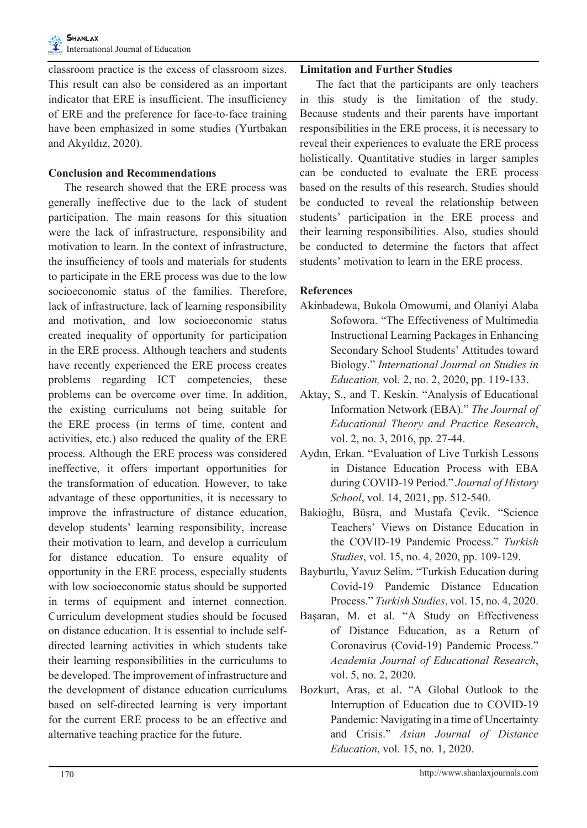classroom practice is the excess of classroom sizes. This result can also be considered as an important indicator that ERE is insufficient. The insufficiency of ERE and the preference for face-to-face training have been emphasized in some studies (Yurtbakan and Akyıldız, 2020).

#### **Conclusion and Recommendations**

 The research showed that the ERE process was generally ineffective due to the lack of student participation. The main reasons for this situation were the lack of infrastructure, responsibility and motivation to learn. In the context of infrastructure, the insufficiency of tools and materials for students to participate in the ERE process was due to the low socioeconomic status of the families. Therefore, lack of infrastructure, lack of learning responsibility and motivation, and low socioeconomic status created inequality of opportunity for participation in the ERE process. Although teachers and students have recently experienced the ERE process creates problems regarding ICT competencies, these problems can be overcome over time. In addition, the existing curriculums not being suitable for the ERE process (in terms of time, content and activities, etc.) also reduced the quality of the ERE process. Although the ERE process was considered ineffective, it offers important opportunities for the transformation of education. However, to take advantage of these opportunities, it is necessary to improve the infrastructure of distance education, develop students' learning responsibility, increase their motivation to learn, and develop a curriculum for distance education. To ensure equality of opportunity in the ERE process, especially students with low socioeconomic status should be supported in terms of equipment and internet connection. Curriculum development studies should be focused on distance education. It is essential to include selfdirected learning activities in which students take their learning responsibilities in the curriculums to be developed. The improvement of infrastructure and the development of distance education curriculums based on self-directed learning is very important for the current ERE process to be an effective and alternative teaching practice for the future.

#### **Limitation and Further Studies**

 The fact that the participants are only teachers in this study is the limitation of the study. Because students and their parents have important responsibilities in the ERE process, it is necessary to reveal their experiences to evaluate the ERE process holistically. Quantitative studies in larger samples can be conducted to evaluate the ERE process based on the results of this research. Studies should be conducted to reveal the relationship between students' participation in the ERE process and their learning responsibilities. Also, studies should be conducted to determine the factors that affect students' motivation to learn in the ERE process.

#### **References**

- Akinbadewa, Bukola Omowumi, and Olaniyi Alaba Sofowora. "The Effectiveness of Multimedia Instructional Learning Packages in Enhancing Secondary School Students' Attitudes toward Biology." *International Journal on Studies in Education,* vol. 2, no. 2, 2020, pp. 119-133.
- Aktay, S., and T. Keskin. "Analysis of Educational Information Network (EBA)." *The Journal of Educational Theory and Practice Research*, vol. 2, no. 3, 2016, pp. 27-44.
- Aydın, Erkan. "Evaluation of Live Turkish Lessons in Distance Education Process with EBA during COVID-19 Period." *Journal of History School*, vol. 14, 2021, pp. 512-540.
- Bakioğlu, Büşra, and Mustafa Çevik. "Science Teachers' Views on Distance Education in the COVID-19 Pandemic Process." *Turkish Studies*, vol. 15, no. 4, 2020, pp. 109-129.
- Bayburtlu, Yavuz Selim. "Turkish Education during Covid-19 Pandemic Distance Education Process." *Turkish Studies*, vol. 15, no. 4, 2020.
- Başaran, M. et al. "A Study on Effectiveness of Distance Education, as a Return of Coronavirus (Covid-19) Pandemic Process." *Academia Journal of Educational Research*, vol. 5, no. 2, 2020.
- Bozkurt, Aras, et al. "A Global Outlook to the Interruption of Education due to COVID-19 Pandemic: Navigating in a time of Uncertainty and Crisis." *Asian Journal of Distance Education*, vol. 15, no. 1, 2020.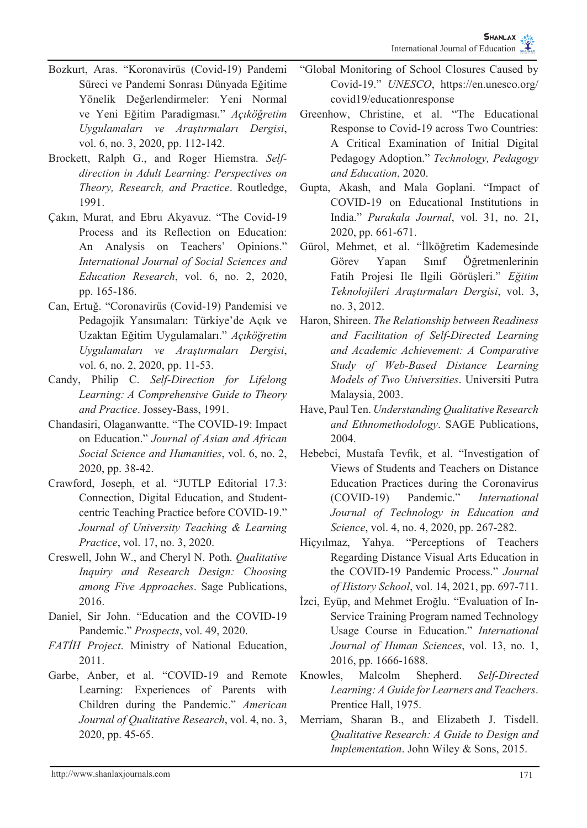- Bozkurt, Aras. "Koronavirüs (Covid-19) Pandemi Süreci ve Pandemi Sonrası Dünyada Eğitime Yönelik Değerlendirmeler: Yeni Normal ve Yeni Eğitim Paradigması." *Açıköğretim Uygulamaları ve Araştırmaları Dergisi*, vol. 6, no. 3, 2020, pp. 112-142.
- Brockett, Ralph G., and Roger Hiemstra. *Selfdirection in Adult Learning: Perspectives on Theory, Research, and Practice*. Routledge, 1991.
- Çakın, Murat, and Ebru Akyavuz. "The Covid-19 Process and its Reflection on Education: An Analysis on Teachers' Opinions." *International Journal of Social Sciences and Education Research*, vol. 6, no. 2, 2020, pp. 165-186.
- Can, Ertuğ. "Coronavirüs (Covid-19) Pandemisi ve Pedagojik Yansımaları: Türkiye'de Açık ve Uzaktan Eğitim Uygulamaları." *Açıköğretim Uygulamaları ve Araştırmaları Dergisi*, vol. 6, no. 2, 2020, pp. 11-53.
- Candy, Philip C. *Self-Direction for Lifelong Learning: A Comprehensive Guide to Theory and Practice*. Jossey-Bass, 1991.
- Chandasiri, Olaganwantte. "The COVID-19: Impact on Education." *Journal of Asian and African Social Science and Humanities*, vol. 6, no. 2, 2020, pp. 38-42.
- Crawford, Joseph, et al. "JUTLP Editorial 17.3: Connection, Digital Education, and Studentcentric Teaching Practice before COVID-19." *Journal of University Teaching & Learning Practice*, vol. 17, no. 3, 2020.
- Creswell, John W., and Cheryl N. Poth. *Qualitative Inquiry and Research Design: Choosing among Five Approaches*. Sage Publications, 2016.
- Daniel, Sir John. "Education and the COVID-19 Pandemic." *Prospects*, vol. 49, 2020.
- *FATİH Project*. Ministry of National Education, 2011.
- Garbe, Anber, et al. "COVID-19 and Remote Learning: Experiences of Parents with Children during the Pandemic." *American Journal of Qualitative Research*, vol. 4, no. 3, 2020, pp. 45-65.
- "Global Monitoring of School Closures Caused by Covid-19." *UNESCO*, https://en.unesco.org/ covid19/educationresponse
- Greenhow, Christine, et al. "The Educational Response to Covid-19 across Two Countries: A Critical Examination of Initial Digital Pedagogy Adoption." *Technology, Pedagogy and Education*, 2020.
- Gupta, Akash, and Mala Goplani. "Impact of COVID-19 on Educational Institutions in India." *Purakala Journal*, vol. 31, no. 21, 2020, pp. 661-671.
- Gürol, Mehmet, et al. "İlköğretim Kademesinde Görev Yapan Sınıf Öğretmenlerinin Fatih Projesi Ile Ilgili Görüşleri." *Eğitim Teknolojileri Araştırmaları Dergisi*, vol. 3, no. 3, 2012.
- Haron, Shireen. *The Relationship between Readiness and Facilitation of Self-Directed Learning and Academic Achievement: A Comparative Study of Web-Based Distance Learning Models of Two Universities*. Universiti Putra Malaysia, 2003.
- Have, Paul Ten. *Understanding Qualitative Research and Ethnomethodology*. SAGE Publications, 2004.
- Hebebci, Mustafa Tevfik, et al. "Investigation of Views of Students and Teachers on Distance Education Practices during the Coronavirus (COVID-19) Pandemic." *International Journal of Technology in Education and Science*, vol. 4, no. 4, 2020, pp. 267-282.
- Hiçyılmaz, Yahya. "Perceptions of Teachers Regarding Distance Visual Arts Education in the COVID-19 Pandemic Process." Journal *of History School*, vol. 14, 2021, pp. 697-711.
- İzci, Eyüp, and Mehmet Eroğlu. "Evaluation of In-Service Training Program named Technology Usage Course in Education." *International Journal of Human Sciences*, vol. 13, no. 1, 2016, pp. 1666-1688.
- Knowles, Malcolm Shepherd. *Self-Directed Learning: A Guide for Learners and Teachers*. Prentice Hall, 1975.
- Merriam, Sharan B., and Elizabeth J. Tisdell. *Qualitative Research: A Guide to Design and Implementation*. John Wiley & Sons, 2015.